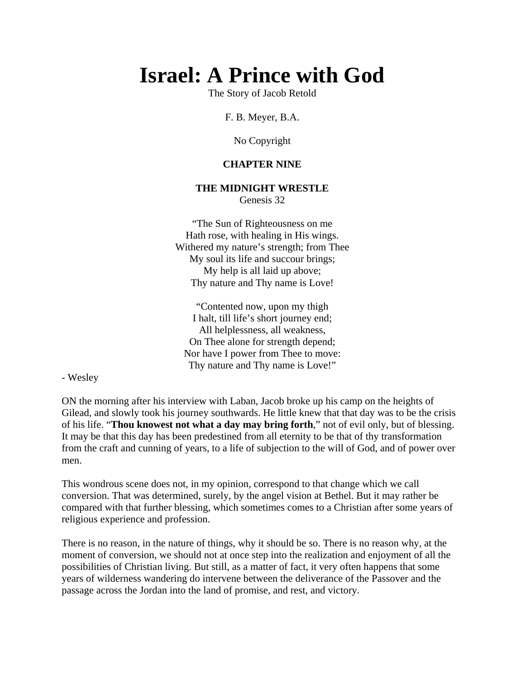# **Israel: A Prince with God** The Story of Jacob Retold

F. B. Meyer, B.A.

No Copyright

# **CHAPTER NINE**

## **THE MIDNIGHT WRESTLE**  Genesis 32

"The Sun of Righteousness on me Hath rose, with healing in His wings. Withered my nature's strength; from Thee My soul its life and succour brings; My help is all laid up above; Thy nature and Thy name is Love!

"Contented now, upon my thigh I halt, till life's short journey end; All helplessness, all weakness, On Thee alone for strength depend; Nor have I power from Thee to move: Thy nature and Thy name is Love!"

- Wesley

ON the morning after his interview with Laban, Jacob broke up his camp on the heights of Gilead, and slowly took his journey southwards. He little knew that that day was to be the crisis of his life. "**Thou knowest not what a day may bring forth**," not of evil only, but of blessing. It may be that this day has been predestined from all eternity to be that of thy transformation from the craft and cunning of years, to a life of subjection to the will of God, and of power over men.

This wondrous scene does not, in my opinion, correspond to that change which we call conversion. That was determined, surely, by the angel vision at Bethel. But it may rather be compared with that further blessing, which sometimes comes to a Christian after some years of religious experience and profession.

There is no reason, in the nature of things, why it should be so. There is no reason why, at the moment of conversion, we should not at once step into the realization and enjoyment of all the possibilities of Christian living. But still, as a matter of fact, it very often happens that some years of wilderness wandering do intervene between the deliverance of the Passover and the passage across the Jordan into the land of promise, and rest, and victory.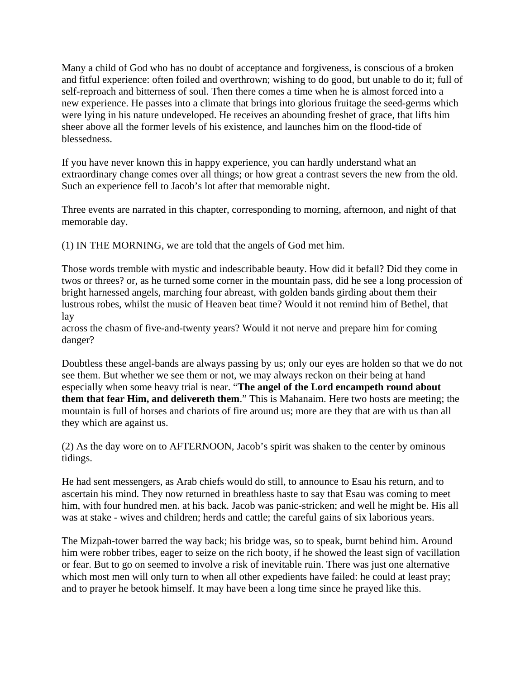Many a child of God who has no doubt of acceptance and forgiveness, is conscious of a broken and fitful experience: often foiled and overthrown; wishing to do good, but unable to do it; full of self-reproach and bitterness of soul. Then there comes a time when he is almost forced into a new experience. He passes into a climate that brings into glorious fruitage the seed-germs which were lying in his nature undeveloped. He receives an abounding freshet of grace, that lifts him sheer above all the former levels of his existence, and launches him on the flood-tide of blessedness.

If you have never known this in happy experience, you can hardly understand what an extraordinary change comes over all things; or how great a contrast severs the new from the old. Such an experience fell to Jacob's lot after that memorable night.

Three events are narrated in this chapter, corresponding to morning, afternoon, and night of that memorable day.

(1) IN THE MORNING, we are told that the angels of God met him.

Those words tremble with mystic and indescribable beauty. How did it befall? Did they come in twos or threes? or, as he turned some corner in the mountain pass, did he see a long procession of bright harnessed angels, marching four abreast, with golden bands girding about them their lustrous robes, whilst the music of Heaven beat time? Would it not remind him of Bethel, that lay

across the chasm of five-and-twenty years? Would it not nerve and prepare him for coming danger?

Doubtless these angel-bands are always passing by us; only our eyes are holden so that we do not see them. But whether we see them or not, we may always reckon on their being at hand especially when some heavy trial is near. "**The angel of the Lord encampeth round about them that fear Him, and delivereth them**." This is Mahanaim. Here two hosts are meeting; the mountain is full of horses and chariots of fire around us; more are they that are with us than all they which are against us.

(2) As the day wore on to AFTERNOON, Jacob's spirit was shaken to the center by ominous tidings.

He had sent messengers, as Arab chiefs would do still, to announce to Esau his return, and to ascertain his mind. They now returned in breathless haste to say that Esau was coming to meet him, with four hundred men. at his back. Jacob was panic-stricken; and well he might be. His all was at stake - wives and children; herds and cattle; the careful gains of six laborious years.

The Mizpah-tower barred the way back; his bridge was, so to speak, burnt behind him. Around him were robber tribes, eager to seize on the rich booty, if he showed the least sign of vacillation or fear. But to go on seemed to involve a risk of inevitable ruin. There was just one alternative which most men will only turn to when all other expedients have failed: he could at least pray; and to prayer he betook himself. It may have been a long time since he prayed like this.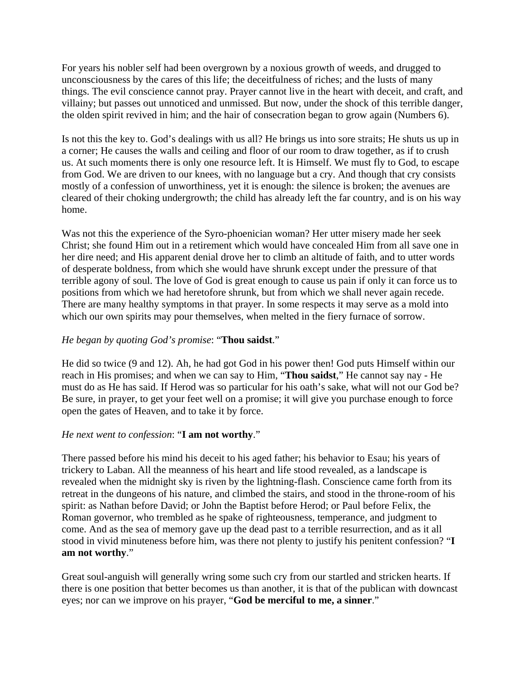For years his nobler self had been overgrown by a noxious growth of weeds, and drugged to unconsciousness by the cares of this life; the deceitfulness of riches; and the lusts of many things. The evil conscience cannot pray. Prayer cannot live in the heart with deceit, and craft, and villainy; but passes out unnoticed and unmissed. But now, under the shock of this terrible danger, the olden spirit revived in him; and the hair of consecration began to grow again (Numbers 6).

Is not this the key to. God's dealings with us all? He brings us into sore straits; He shuts us up in a corner; He causes the walls and ceiling and floor of our room to draw together, as if to crush us. At such moments there is only one resource left. It is Himself. We must fly to God, to escape from God. We are driven to our knees, with no language but a cry. And though that cry consists mostly of a confession of unworthiness, yet it is enough: the silence is broken; the avenues are cleared of their choking undergrowth; the child has already left the far country, and is on his way home.

Was not this the experience of the Syro-phoenician woman? Her utter misery made her seek Christ; she found Him out in a retirement which would have concealed Him from all save one in her dire need; and His apparent denial drove her to climb an altitude of faith, and to utter words of desperate boldness, from which she would have shrunk except under the pressure of that terrible agony of soul. The love of God is great enough to cause us pain if only it can force us to positions from which we had heretofore shrunk, but from which we shall never again recede. There are many healthy symptoms in that prayer. In some respects it may serve as a mold into which our own spirits may pour themselves, when melted in the fiery furnace of sorrow.

## *He began by quoting God's promise*: "**Thou saidst**."

He did so twice (9 and 12). Ah, he had got God in his power then! God puts Himself within our reach in His promises; and when we can say to Him, "**Thou saidst**," He cannot say nay - He must do as He has said. If Herod was so particular for his oath's sake, what will not our God be? Be sure, in prayer, to get your feet well on a promise; it will give you purchase enough to force open the gates of Heaven, and to take it by force.

#### *He next went to confession*: "**I am not worthy**."

There passed before his mind his deceit to his aged father; his behavior to Esau; his years of trickery to Laban. All the meanness of his heart and life stood revealed, as a landscape is revealed when the midnight sky is riven by the lightning-flash. Conscience came forth from its retreat in the dungeons of his nature, and climbed the stairs, and stood in the throne-room of his spirit: as Nathan before David; or John the Baptist before Herod; or Paul before Felix, the Roman governor, who trembled as he spake of righteousness, temperance, and judgment to come. And as the sea of memory gave up the dead past to a terrible resurrection, and as it all stood in vivid minuteness before him, was there not plenty to justify his penitent confession? "**I am not worthy**."

Great soul-anguish will generally wring some such cry from our startled and stricken hearts. If there is one position that better becomes us than another, it is that of the publican with downcast eyes; nor can we improve on his prayer, "**God be merciful to me, a sinner**."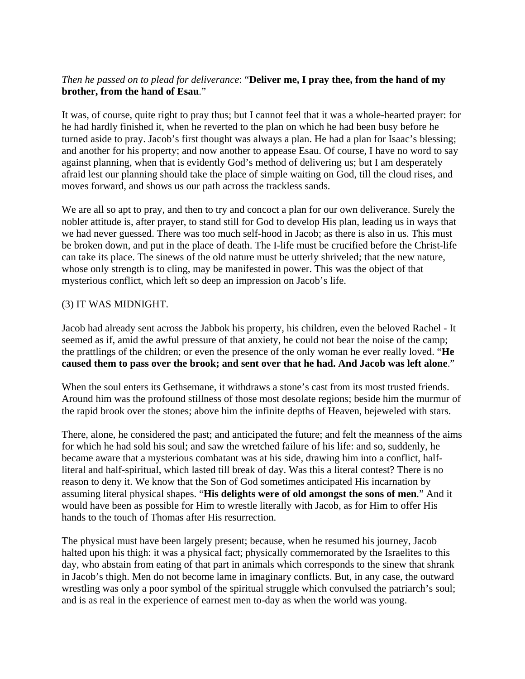## *Then he passed on to plead for deliverance*: "**Deliver me, I pray thee, from the hand of my brother, from the hand of Esau**."

It was, of course, quite right to pray thus; but I cannot feel that it was a whole-hearted prayer: for he had hardly finished it, when he reverted to the plan on which he had been busy before he turned aside to pray. Jacob's first thought was always a plan. He had a plan for Isaac's blessing; and another for his property; and now another to appease Esau. Of course, I have no word to say against planning, when that is evidently God's method of delivering us; but I am desperately afraid lest our planning should take the place of simple waiting on God, till the cloud rises, and moves forward, and shows us our path across the trackless sands.

We are all so apt to pray, and then to try and concoct a plan for our own deliverance. Surely the nobler attitude is, after prayer, to stand still for God to develop His plan, leading us in ways that we had never guessed. There was too much self-hood in Jacob; as there is also in us. This must be broken down, and put in the place of death. The I-life must be crucified before the Christ-life can take its place. The sinews of the old nature must be utterly shriveled; that the new nature, whose only strength is to cling, may be manifested in power. This was the object of that mysterious conflict, which left so deep an impression on Jacob's life.

## (3) IT WAS MIDNIGHT.

Jacob had already sent across the Jabbok his property, his children, even the beloved Rachel - It seemed as if, amid the awful pressure of that anxiety, he could not bear the noise of the camp; the prattlings of the children; or even the presence of the only woman he ever really loved. "**He caused them to pass over the brook; and sent over that he had. And Jacob was left alone**."

When the soul enters its Gethsemane, it withdraws a stone's cast from its most trusted friends. Around him was the profound stillness of those most desolate regions; beside him the murmur of the rapid brook over the stones; above him the infinite depths of Heaven, bejeweled with stars.

There, alone, he considered the past; and anticipated the future; and felt the meanness of the aims for which he had sold his soul; and saw the wretched failure of his life: and so, suddenly, he became aware that a mysterious combatant was at his side, drawing him into a conflict, halfliteral and half-spiritual, which lasted till break of day. Was this a literal contest? There is no reason to deny it. We know that the Son of God sometimes anticipated His incarnation by assuming literal physical shapes. "**His delights were of old amongst the sons of men**." And it would have been as possible for Him to wrestle literally with Jacob, as for Him to offer His hands to the touch of Thomas after His resurrection.

The physical must have been largely present; because, when he resumed his journey, Jacob halted upon his thigh: it was a physical fact; physically commemorated by the Israelites to this day, who abstain from eating of that part in animals which corresponds to the sinew that shrank in Jacob's thigh. Men do not become lame in imaginary conflicts. But, in any case, the outward wrestling was only a poor symbol of the spiritual struggle which convulsed the patriarch's soul; and is as real in the experience of earnest men to-day as when the world was young.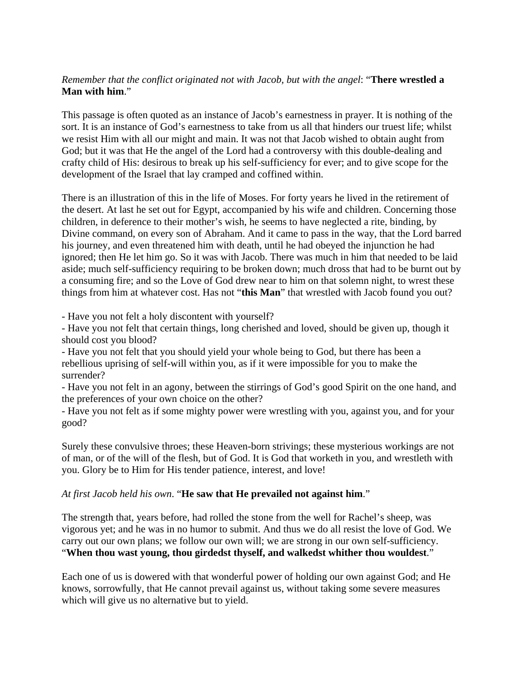# *Remember that the conflict originated not with Jacob, but with the angel*: "**There wrestled a Man with him**."

This passage is often quoted as an instance of Jacob's earnestness in prayer. It is nothing of the sort. It is an instance of God's earnestness to take from us all that hinders our truest life; whilst we resist Him with all our might and main. It was not that Jacob wished to obtain aught from God; but it was that He the angel of the Lord had a controversy with this double-dealing and crafty child of His: desirous to break up his self-sufficiency for ever; and to give scope for the development of the Israel that lay cramped and coffined within.

There is an illustration of this in the life of Moses. For forty years he lived in the retirement of the desert. At last he set out for Egypt, accompanied by his wife and children. Concerning those children, in deference to their mother's wish, he seems to have neglected a rite, binding, by Divine command, on every son of Abraham. And it came to pass in the way, that the Lord barred his journey, and even threatened him with death, until he had obeyed the injunction he had ignored; then He let him go. So it was with Jacob. There was much in him that needed to be laid aside; much self-sufficiency requiring to be broken down; much dross that had to be burnt out by a consuming fire; and so the Love of God drew near to him on that solemn night, to wrest these things from him at whatever cost. Has not "**this Man**" that wrestled with Jacob found you out?

- Have you not felt a holy discontent with yourself?

- Have you not felt that certain things, long cherished and loved, should be given up, though it should cost you blood?

- Have you not felt that you should yield your whole being to God, but there has been a rebellious uprising of self-will within you, as if it were impossible for you to make the surrender?

- Have you not felt in an agony, between the stirrings of God's good Spirit on the one hand, and the preferences of your own choice on the other?

- Have you not felt as if some mighty power were wrestling with you, against you, and for your good?

Surely these convulsive throes; these Heaven-born strivings; these mysterious workings are not of man, or of the will of the flesh, but of God. It is God that worketh in you, and wrestleth with you. Glory be to Him for His tender patience, interest, and love!

## *At first Jacob held his own*. "**He saw that He prevailed not against him**."

The strength that, years before, had rolled the stone from the well for Rachel's sheep, was vigorous yet; and he was in no humor to submit. And thus we do all resist the love of God. We carry out our own plans; we follow our own will; we are strong in our own self-sufficiency. "**When thou wast young, thou girdedst thyself, and walkedst whither thou wouldest**."

Each one of us is dowered with that wonderful power of holding our own against God; and He knows, sorrowfully, that He cannot prevail against us, without taking some severe measures which will give us no alternative but to yield.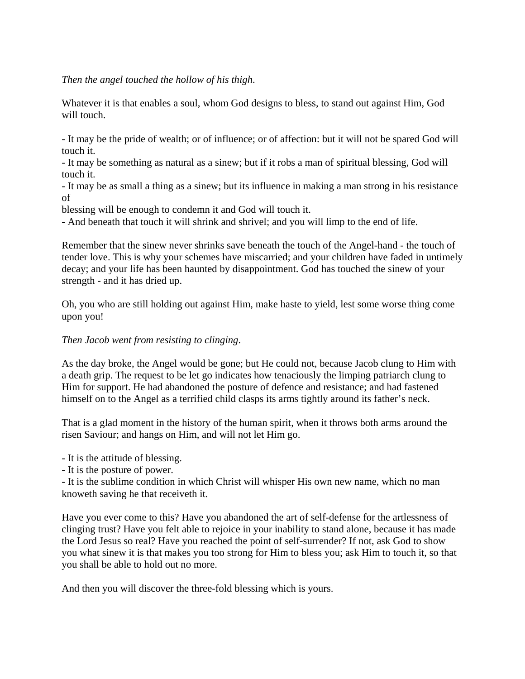*Then the angel touched the hollow of his thigh*.

Whatever it is that enables a soul, whom God designs to bless, to stand out against Him, God will touch.

- It may be the pride of wealth; or of influence; or of affection: but it will not be spared God will touch it.

- It may be something as natural as a sinew; but if it robs a man of spiritual blessing, God will touch it.

- It may be as small a thing as a sinew; but its influence in making a man strong in his resistance of

blessing will be enough to condemn it and God will touch it.

- And beneath that touch it will shrink and shrivel; and you will limp to the end of life.

Remember that the sinew never shrinks save beneath the touch of the Angel-hand - the touch of tender love. This is why your schemes have miscarried; and your children have faded in untimely decay; and your life has been haunted by disappointment. God has touched the sinew of your strength - and it has dried up.

Oh, you who are still holding out against Him, make haste to yield, lest some worse thing come upon you!

#### *Then Jacob went from resisting to clinging*.

As the day broke, the Angel would be gone; but He could not, because Jacob clung to Him with a death grip. The request to be let go indicates how tenaciously the limping patriarch clung to Him for support. He had abandoned the posture of defence and resistance; and had fastened himself on to the Angel as a terrified child clasps its arms tightly around its father's neck.

That is a glad moment in the history of the human spirit, when it throws both arms around the risen Saviour; and hangs on Him, and will not let Him go.

- It is the attitude of blessing.

- It is the posture of power.

- It is the sublime condition in which Christ will whisper His own new name, which no man knoweth saving he that receiveth it.

Have you ever come to this? Have you abandoned the art of self-defense for the artlessness of clinging trust? Have you felt able to rejoice in your inability to stand alone, because it has made the Lord Jesus so real? Have you reached the point of self-surrender? If not, ask God to show you what sinew it is that makes you too strong for Him to bless you; ask Him to touch it, so that you shall be able to hold out no more.

And then you will discover the three-fold blessing which is yours.